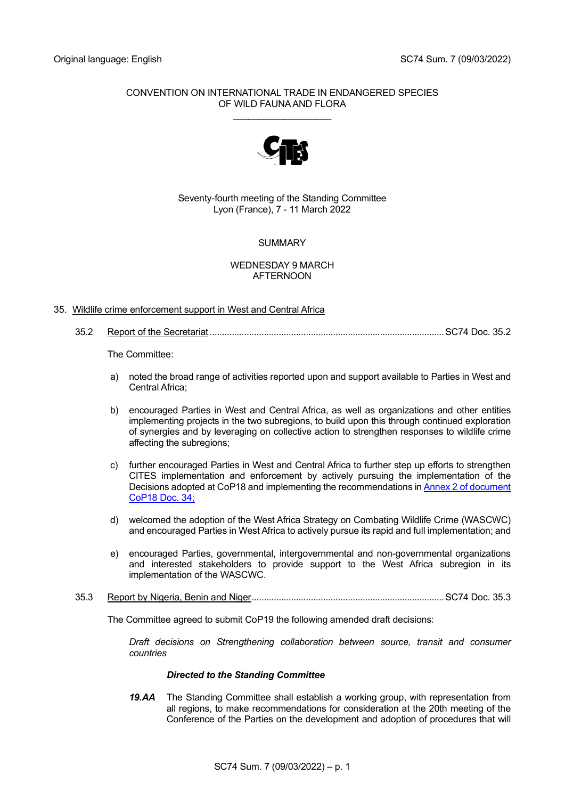### CONVENTION ON INTERNATIONAL TRADE IN ENDANGERED SPECIES OF WILD FAUNA AND FLORA \_\_\_\_\_\_\_\_\_\_\_\_\_\_\_\_\_\_\_



# Seventy-fourth meeting of the Standing Committee Lyon (France), 7 - 11 March 2022

# SUMMARY

# WEDNESDAY 9 MARCH AFTERNOON

# 35. Wildlife crime enforcement support in West and Central Africa

35.2 Report of the Secretariat ...............................................................................................SC74 Doc. 35.2

The Committee:

- a) noted the broad range of activities reported upon and support available to Parties in West and Central Africa;
- b) encouraged Parties in West and Central Africa, as well as organizations and other entities implementing projects in the two subregions, to build upon this through continued exploration of synergies and by leveraging on collective action to strengthen responses to wildlife crime affecting the subregions;
- c) further encouraged Parties in West and Central Africa to further step up efforts to strengthen CITES implementation and enforcement by actively pursuing the implementation of the Decisions adopted at CoP18 and implementing the recommendations in [Annex 2 of document](https://cites.org/sites/default/files/eng/prog/enforcement/CoP18_Doc_34_Annex2_EN.pdf)  [CoP18 Doc. 34;](https://cites.org/sites/default/files/eng/prog/enforcement/CoP18_Doc_34_Annex2_EN.pdf)
- d) welcomed the adoption of the West Africa Strategy on Combating Wildlife Crime (WASCWC) and encouraged Parties in West Africa to actively pursue its rapid and full implementation; and
- e) encouraged Parties, governmental, intergovernmental and non-governmental organizations and interested stakeholders to provide support to the West Africa subregion in its implementation of the WASCWC.
- 35.3 Report by Nigeria, Benin and Niger..............................................................................SC74 Doc. 35.3

The Committee agreed to submit CoP19 the following amended draft decisions:

*Draft decisions on Strengthening collaboration between source, transit and consumer countries*

# *Directed to the Standing Committee*

*19.AA* The Standing Committee shall establish a working group, with representation from all regions, to make recommendations for consideration at the 20th meeting of the Conference of the Parties on the development and adoption of procedures that will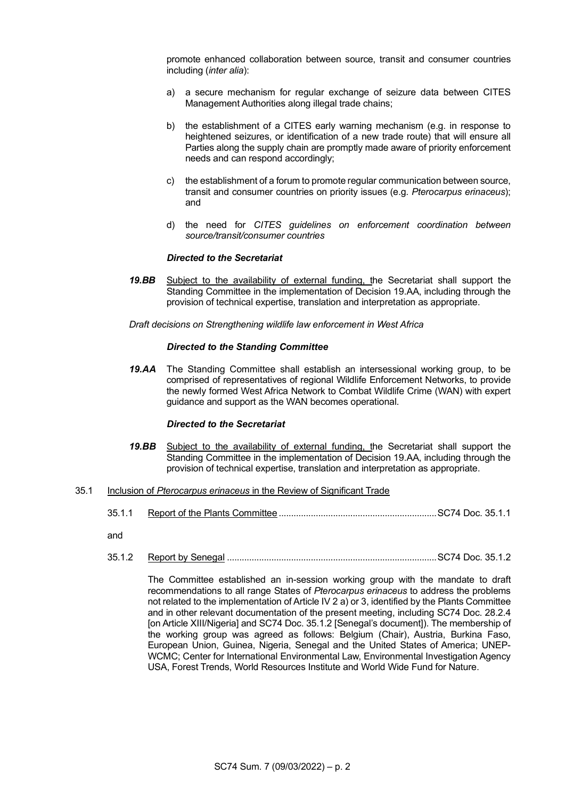promote enhanced collaboration between source, transit and consumer countries including (*inter alia*):

- a) a secure mechanism for regular exchange of seizure data between CITES Management Authorities along illegal trade chains;
- b) the establishment of a CITES early warning mechanism (e.g. in response to heightened seizures, or identification of a new trade route) that will ensure all Parties along the supply chain are promptly made aware of priority enforcement needs and can respond accordingly;
- c) the establishment of a forum to promote regular communication between source, transit and consumer countries on priority issues (e.g. *Pterocarpus erinaceus*); and
- d) the need for *CITES guidelines on enforcement coordination between source/transit/consumer countries*

### *Directed to the Secretariat*

*19.BB* Subject to the availability of external funding, the Secretariat shall support the Standing Committee in the implementation of Decision 19.AA, including through the provision of technical expertise, translation and interpretation as appropriate.

*Draft decisions on Strengthening wildlife law enforcement in West Africa*

### *Directed to the Standing Committee*

*19.AA* The Standing Committee shall establish an intersessional working group, to be comprised of representatives of regional Wildlife Enforcement Networks, to provide the newly formed West Africa Network to Combat Wildlife Crime (WAN) with expert guidance and support as the WAN becomes operational.

### *Directed to the Secretariat*

*19.BB* Subject to the availability of external funding, the Secretariat shall support the Standing Committee in the implementation of Decision 19.AA, including through the provision of technical expertise, translation and interpretation as appropriate.

### 35.1 Inclusion of *Pterocarpus erinaceus* in the Review of Significant Trade

35.1.1 Report of the Plants Committee ................................................................SC74 Doc. 35.1.1

and

35.1.2 Report by Senegal .....................................................................................SC74 Doc. 35.1.2

The Committee established an in-session working group with the mandate to draft recommendations to all range States of *Pterocarpus erinaceus* to address the problems not related to the implementation of Article IV 2 a) or 3, identified by the Plants Committee and in other relevant documentation of the present meeting, including SC74 Doc. 28.2.4 [on Article XIII/Nigeria] and SC74 Doc. 35.1.2 [Senegal's document]). The membership of the working group was agreed as follows: Belgium (Chair), Austria, Burkina Faso, European Union, Guinea, Nigeria, Senegal and the United States of America; UNEP-WCMC; Center for International Environmental Law, Environmental Investigation Agency USA, Forest Trends, World Resources Institute and World Wide Fund for Nature.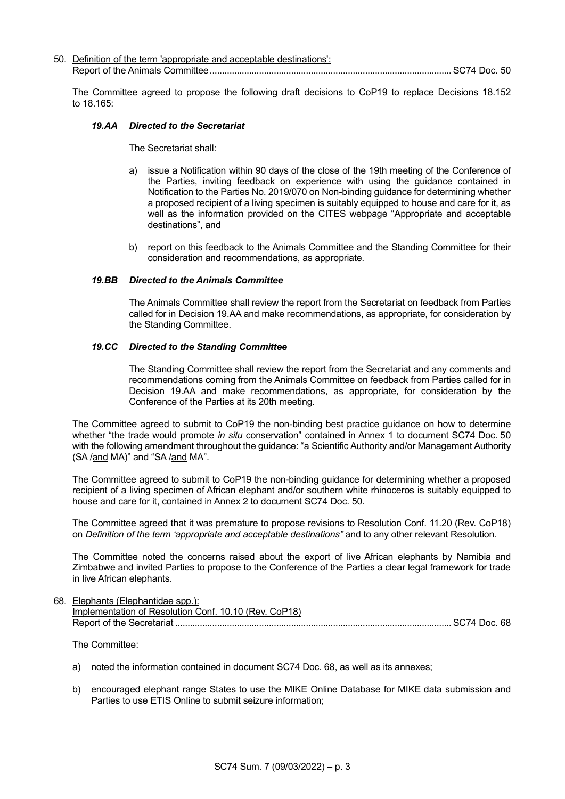50. Definition of the term 'appropriate and acceptable destinations': Report of the Animals Committee..................................................................................................SC74 Doc. 50

The Committee agreed to propose the following draft decisions to CoP19 to replace Decisions 18.152 to 18.165:

# *19.AA Directed to the Secretariat*

The Secretariat shall:

- a) issue a Notification within 90 days of the close of the 19th meeting of the Conference of the Parties, inviting feedback on experience with using the guidance contained in Notification to the Parties No. 2019/070 on Non-binding guidance for determining whether a proposed recipient of a living specimen is suitably equipped to house and care for it, as well as the information provided on the CITES webpage "Appropriate and acceptable destinations", and
- b) report on this feedback to the Animals Committee and the Standing Committee for their consideration and recommendations, as appropriate.

# *19.BB Directed to the Animals Committee*

The Animals Committee shall review the report from the Secretariat on feedback from Parties called for in Decision 19.AA and make recommendations, as appropriate, for consideration by the Standing Committee.

# *19.CC Directed to the Standing Committee*

The Standing Committee shall review the report from the Secretariat and any comments and recommendations coming from the Animals Committee on feedback from Parties called for in Decision 19.AA and make recommendations, as appropriate, for consideration by the Conference of the Parties at its 20th meeting.

The Committee agreed to submit to CoP19 the non-binding best practice guidance on how to determine whether "the trade would promote *in situ* conservation" contained in Annex 1 to document SC74 Doc. 50 with the following amendment throughout the guidance: "a Scientific Authority and/or Management Authority (SA /and MA)" and "SA /and MA".

The Committee agreed to submit to CoP19 the non-binding guidance for determining whether a proposed recipient of a living specimen of African elephant and/or southern white rhinoceros is suitably equipped to house and care for it, contained in Annex 2 to document SC74 Doc. 50.

The Committee agreed that it was premature to propose revisions to Resolution Conf. 11.20 (Rev. CoP18) on *Definition of the term 'appropriate and acceptable destinations"* and to any other relevant Resolution.

The Committee noted the concerns raised about the export of live African elephants by Namibia and Zimbabwe and invited Parties to propose to the Conference of the Parties a clear legal framework for trade in live African elephants.

#### 68. Elephants (Elephantidae spp.): Implementation of Resolution Conf. 10.10 (Rev. CoP18)

Report of the Secretariat ................................................................................................................SC74 Doc. 68

The Committee:

- a) noted the information contained in document SC74 Doc. 68, as well as its annexes;
- b) encouraged elephant range States to use the MIKE Online Database for MIKE data submission and Parties to use ETIS Online to submit seizure information;